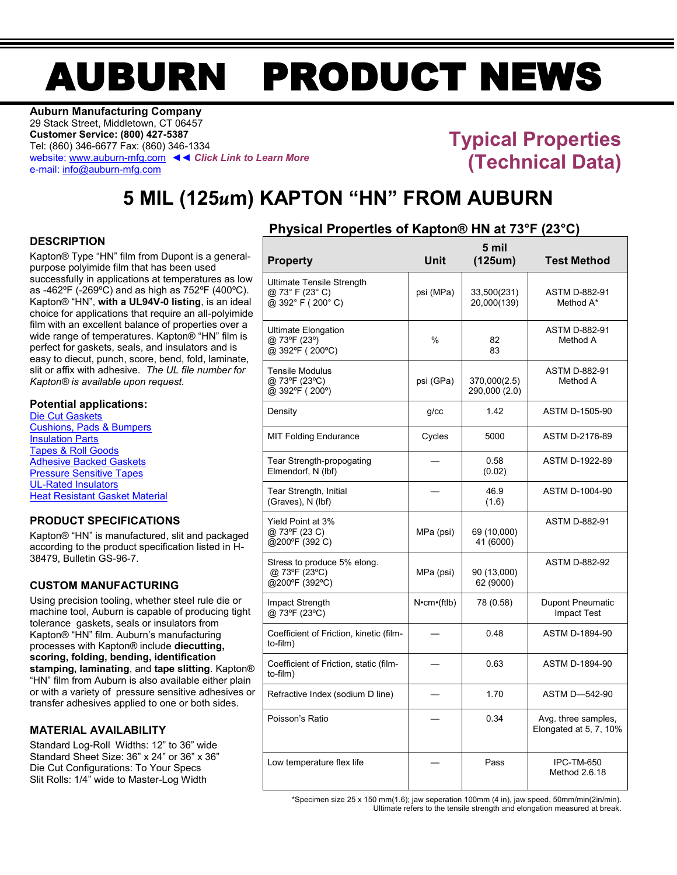# AUBURN PRODUCT NEWS

**Auburn Manufacturing Company** 29 Stack Street, Middletown, CT 06457 **Customer Service: (800) 427-5387** Tel: (860) 346-6677 Fax: (860) 346-1334 website[: www.auburn-mfg.com](http://www.auburn-mfg.com/) ◄◄ *Click Link to Learn More* e-mail[: info@auburn-mfg.com](mailto:info@auburn-mfg.com)

## **Typical Properties (Technical Data)**

# **5 MIL (125***u***m) KAPTON "HN" FROM AUBURN**

#### **DESCRIPTION**

Kapton® Type "HN" film from Dupont is a generalpurpose polyimide film that has been used successfully in applications at temperatures as low as -462ºF (-269ºC) and as high as 752ºF (400ºC). Kapton® "HN", **with a UL94V-0 listing**, is an ideal choice for applications that require an all-polyimide film with an excellent balance of properties over a wide range of temperatures. Kapton<sup>®</sup> "HN" film is perfect for gaskets, seals, and insulators and is easy to diecut, punch, score, bend, fold, laminate, slit or affix with adhesive. *The UL file number for Kapton® is available upon request.*

#### **Potential applications:**

[Die Cut Gaskets](http://www.auburn-mfg.com/products/gaskets.html) [Cushions, Pads & Bumpers](http://www.auburn-mfg.com/products/pads_cushions.html) [Insulation Parts](http://www.auburn-mfg.com/products/insulation_parts.html) [Tapes & Roll Goods](http://www.auburn-mfg.com/products/tapes.html) [Adhesive Backed Gaskets](http://www.auburn-mfg.com/products/adhesives.html) [Pressure Sensitive Tapes](http://www.auburn-mfg.com/products/saint_gobain.html) [UL-Rated Insulators](http://www.auburn-mfg.com/ul_rated_materials.html) Heat Resistant [Gasket Material](http://www.auburn-mfg.com/high_temperature_materials.html)

#### **PRODUCT SPECIFICATIONS**

Kapton® "HN" is manufactured, slit and packaged according to the product specification listed in H-38479, Bulletin GS-96-7.

#### **CUSTOM MANUFACTURING**

Using precision tooling, whether steel rule die or machine tool, Auburn is capable of producing tight tolerance gaskets, seals or insulators from Kapton® "HN" film. Auburn's manufacturing processes with Kapton® include **diecutting, scoring, folding, bending, identification stamping, laminating**, and **tape slitting**. Kapton® "HN" film from Auburn is also available either plain or with a variety of pressure sensitive adhesives or transfer adhesives applied to one or both sides.

#### **MATERIAL AVAILABILITY**

Standard Log-Roll Widths: 12" to 36" wide Standard Sheet Size: 36" x 24" or 36" x 36" Die Cut Configurations: To Your Specs Slit Rolls: 1/4" wide to Master-Log Width

### **Physical PropertIes of Kapton® HN at 73°F (23°C)**

| <b>Property</b>                                                          | Unit                   | 5 mil<br>(125um)              | <b>Test Method</b>                            |
|--------------------------------------------------------------------------|------------------------|-------------------------------|-----------------------------------------------|
| <b>Ultimate Tensile Strength</b><br>@ 73° F (23° C)<br>@ 392° F (200° C) | psi (MPa)              | 33,500(231)<br>20,000(139)    | <b>ASTM D-882-91</b><br>Method A*             |
| <b>Ultimate Elongation</b><br>@ 73°F (23°)<br>@ 392°F (200°C)            | %                      | 82<br>83                      | <b>ASTM D-882-91</b><br>Method A              |
| <b>Tensile Modulus</b><br>@ 73°F (23°C)<br>@ 392°F (200°)                | psi (GPa)              | 370,000(2.5)<br>290,000 (2.0) | <b>ASTM D-882-91</b><br>Method A              |
| Density                                                                  | $q$ / $cc$             | 142                           | ASTM D-1505-90                                |
| <b>MIT Folding Endurance</b>                                             | Cycles                 | 5000                          | ASTM D-2176-89                                |
| Tear Strength-propogating<br>Elmendorf, N (lbf)                          |                        | 0.58<br>(0.02)                | ASTM D-1922-89                                |
| Tear Strength, Initial<br>(Graves), N (lbf)                              |                        | 46.9<br>(1.6)                 | ASTM D-1004-90                                |
| Yield Point at 3%<br>@ 73°F (23 C)<br>@200°F (392 C)                     | MPa (psi)              | 69 (10,000)<br>41 (6000)      | <b>ASTM D-882-91</b>                          |
| Stress to produce 5% elong.<br>@ 73°F (23°C)<br>@200°F (392°C)           | MPa (psi)              | 90 (13,000)<br>62 (9000)      | <b>ASTM D-882-92</b>                          |
| Impact Strength<br>@ 73°F (23°C)                                         | $N$ <b>·</b> cm·(ftlb) | 78 (0.58)                     | <b>Dupont Pneumatic</b><br><b>Impact Test</b> |
| Coefficient of Friction, kinetic (film-<br>to-film)                      |                        | 0.48                          | <b>ASTM D-1894-90</b>                         |
| Coefficient of Friction, static (film-<br>to-film)                       |                        | 0.63                          | ASTM D-1894-90                                |
| Refractive Index (sodium D line)                                         |                        | 1.70                          | ASTM D-542-90                                 |
| Poisson's Ratio                                                          |                        | 0.34                          | Avg. three samples,<br>Elongated at 5, 7, 10% |
| Low temperature flex life                                                |                        | Pass                          | <b>IPC-TM-650</b><br>Method 2.6.18            |

\*Specimen size 25 x 150 mm(1.6); jaw seperation 100mm (4 in), jaw speed, 50mm/min(2in/min). Ultimate refers to the tensile strength and elongation measured at break.